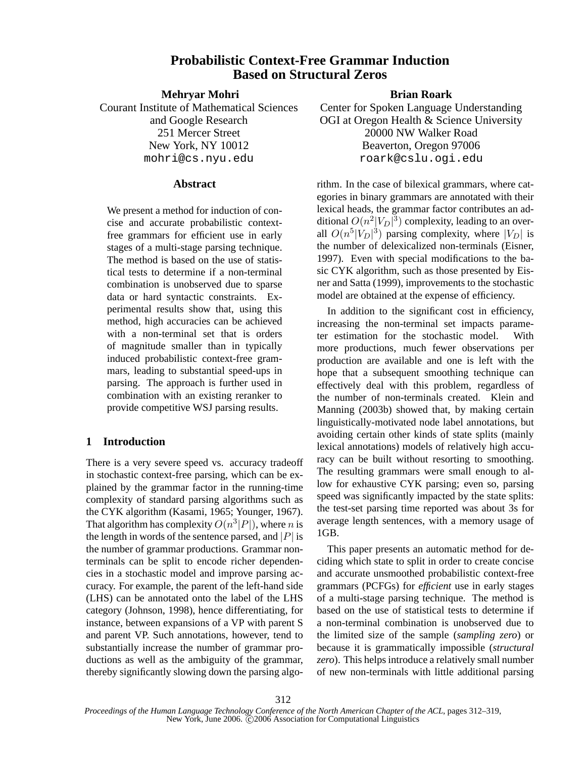# **Probabilistic Context-Free Grammar Induction Based on Structural Zeros**

**Mehryar Mohri**

Courant Institute of Mathematical Sciences and Google Research 251 Mercer Street New York, NY 10012 mohri@cs.nyu.edu

## **Abstract**

We present a method for induction of concise and accurate probabilistic contextfree grammars for efficient use in early stages of a multi-stage parsing technique. The method is based on the use of statistical tests to determine if a non-terminal combination is unobserved due to sparse data or hard syntactic constraints. Experimental results show that, using this method, high accuracies can be achieved with a non-terminal set that is orders of magnitude smaller than in typically induced probabilistic context-free grammars, leading to substantial speed-ups in parsing. The approach is further used in combination with an existing reranker to provide competitive WSJ parsing results.

## **1 Introduction**

There is a very severe speed vs. accuracy tradeoff in stochastic context-free parsing, which can be explained by the grammar factor in the running-time complexity of standard parsing algorithms such as the CYK algorithm (Kasami, 1965; Younger, 1967). That algorithm has complexity  $O(n^3|P|)$ , where *n* is the length in words of the sentence parsed, and  $|P|$  is the number of grammar productions. Grammar nonterminals can be split to encode richer dependencies in a stochastic model and improve parsing accuracy. For example, the parent of the left-hand side (LHS) can be annotated onto the label of the LHS category (Johnson, 1998), hence differentiating, for instance, between expansions of a VP with parent S and parent VP. Such annotations, however, tend to substantially increase the number of grammar productions as well as the ambiguity of the grammar, thereby significantly slowing down the parsing algo-

## **Brian Roark**

Center for Spoken Language Understanding OGI at Oregon Health & Science University 20000 NW Walker Road Beaverton, Oregon 97006 roark@cslu.ogi.edu

rithm. In the case of bilexical grammars, where categories in binary grammars are annotated with their lexical heads, the grammar factor contributes an additional  $O(n^2|V_D|^3)$  complexity, leading to an overall  $O(n^5|V_D|^3)$  parsing complexity, where  $|V_D|$  is the number of delexicalized non-terminals (Eisner, 1997). Even with special modifications to the basic CYK algorithm, such as those presented by Eisner and Satta (1999), improvements to the stochastic model are obtained at the expense of efficiency.

In addition to the significant cost in efficiency, increasing the non-terminal set impacts parameter estimation for the stochastic model. With more productions, much fewer observations per production are available and one is left with the hope that a subsequent smoothing technique can effectively deal with this problem, regardless of the number of non-terminals created. Klein and Manning (2003b) showed that, by making certain linguistically-motivated node label annotations, but avoiding certain other kinds of state splits (mainly lexical annotations) models of relatively high accuracy can be built without resorting to smoothing. The resulting grammars were small enough to allow for exhaustive CYK parsing; even so, parsing speed was significantly impacted by the state splits: the test-set parsing time reported was about 3s for average length sentences, with a memory usage of 1GB.

This paper presents an automatic method for deciding which state to split in order to create concise and accurate unsmoothed probabilistic context-free grammars (PCFGs) for *efficient* use in early stages of a multi-stage parsing technique. The method is based on the use of statistical tests to determine if a non-terminal combination is unobserved due to the limited size of the sample (*sampling zero*) or because it is grammatically impossible (*structural zero*). This helps introduce a relatively small number of new non-terminals with little additional parsing

*Proceedings of the Human Language Technology Conference of the North American Chapter of the ACL*, pages 312–319, New York, June 2006. C 2006 Association for Computational Linguistics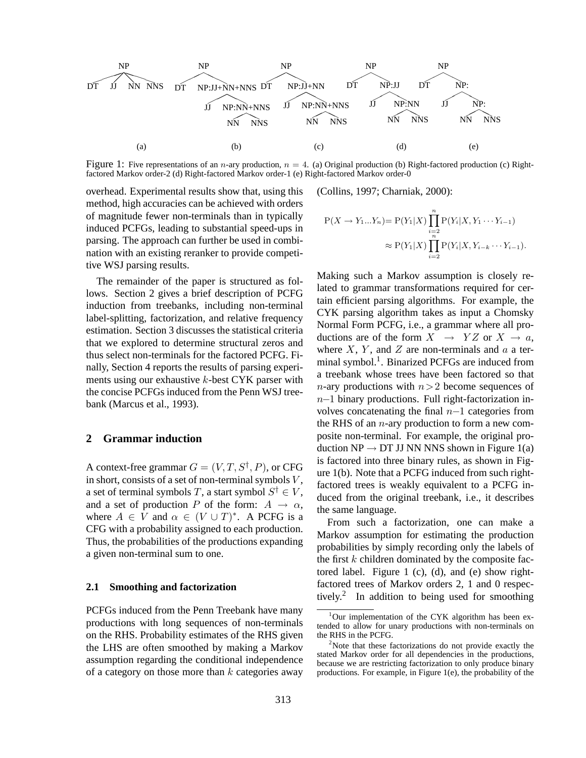

Figure 1: Five representations of an *n*-ary production,  $n = 4$ . (a) Original production (b) Right-factored production (c) Rightfactored Markov order-2 (d) Right-factored Markov order-1 (e) Right-factored Markov order-0

overhead. Experimental results show that, using this method, high accuracies can be achieved with orders of magnitude fewer non-terminals than in typically induced PCFGs, leading to substantial speed-ups in parsing. The approach can further be used in combination with an existing reranker to provide competitive WSJ parsing results.

The remainder of the paper is structured as follows. Section 2 gives a brief description of PCFG induction from treebanks, including non-terminal label-splitting, factorization, and relative frequency estimation. Section 3 discusses the statistical criteria that we explored to determine structural zeros and thus select non-terminals for the factored PCFG. Finally, Section 4 reports the results of parsing experiments using our exhaustive  $k$ -best CYK parser with the concise PCFGs induced from the Penn WSJ treebank (Marcus et al., 1993).

### **2 Grammar induction**

A context-free grammar  $G = (V, T, S^{\dagger}, P)$ , or CFG in short, consists of a set of non-terminal symbols  $V$ , a set of terminal symbols T, a start symbol  $S^{\dagger} \in V,$ and a set of production P of the form:  $A \rightarrow \alpha$ , where  $A \in V$  and  $\alpha \in (V \cup T)^*$ . A PCFG is a CFG with a probability assigned to each production. Thus, the probabilities of the productions expanding a given non-terminal sum to one.

#### **2.1 Smoothing and factorization**

PCFGs induced from the Penn Treebank have many productions with long sequences of non-terminals on the RHS. Probability estimates of the RHS given the LHS are often smoothed by making a Markov assumption regarding the conditional independence of a category on those more than  $k$  categories away

(Collins, 1997; Charniak, 2000):

$$
P(X \to Y_1...Y_n) = P(Y_1|X) \prod_{\substack{i=2 \\ n}}^{n} P(Y_i|X, Y_1 \cdots Y_{i-1})
$$
  

$$
\approx P(Y_1|X) \prod_{i=2}^{n} P(Y_i|X, Y_{i-k} \cdots Y_{i-1}).
$$

Making such a Markov assumption is closely related to grammar transformations required for certain efficient parsing algorithms. For example, the CYK parsing algorithm takes as input a Chomsky Normal Form PCFG, i.e., a grammar where all productions are of the form  $X \rightarrow YZ$  or  $X \rightarrow a$ , where  $X$ ,  $Y$ , and  $Z$  are non-terminals and  $a$  a terminal symbol.<sup>1</sup>. Binarized PCFGs are induced from a treebank whose trees have been factored so that *n*-ary productions with  $n>2$  become sequences of n−1 binary productions. Full right-factorization involves concatenating the final  $n-1$  categories from the RHS of an  $n$ -ary production to form a new composite non-terminal. For example, the original production  $NP \rightarrow DT$  JJ NN NNS shown in Figure 1(a) is factored into three binary rules, as shown in Figure 1(b). Note that a PCFG induced from such rightfactored trees is weakly equivalent to a PCFG induced from the original treebank, i.e., it describes the same language.

From such a factorization, one can make a Markov assumption for estimating the production probabilities by simply recording only the labels of the first  $k$  children dominated by the composite factored label. Figure 1 (c), (d), and (e) show rightfactored trees of Markov orders 2, 1 and 0 respectively.<sup>2</sup> In addition to being used for smoothing

 $1$ Our implementation of the CYK algorithm has been extended to allow for unary productions with non-terminals on the RHS in the PCFG.

 $2$ Note that these factorizations do not provide exactly the stated Markov order for all dependencies in the productions, because we are restricting factorization to only produce binary productions. For example, in Figure 1(e), the probability of the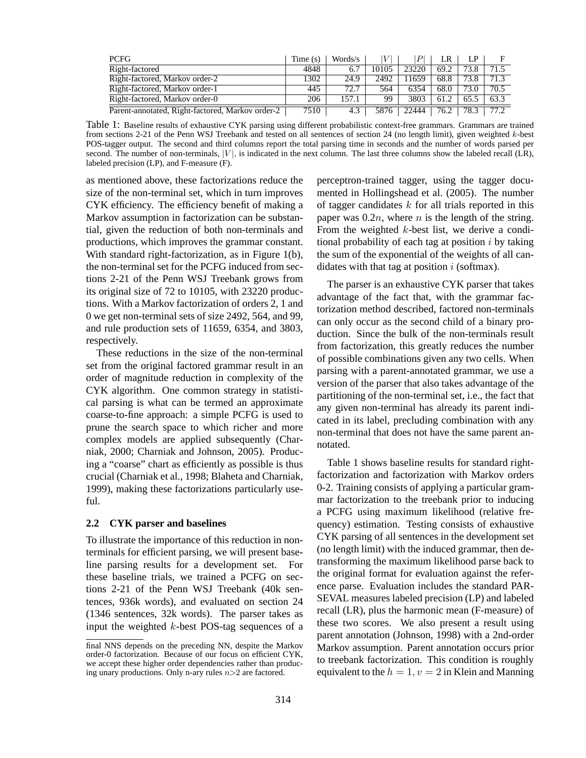| <b>PCFG</b>                                      | Time(s) | Words/s |       |       |      | LP   |      |
|--------------------------------------------------|---------|---------|-------|-------|------|------|------|
| Right-factored                                   | 4848    | 6.7     | 10105 | 23220 | 69.2 | 73.8 | 71.5 |
| Right-factored, Markov order-2                   | 1302    | 24.9    | 2492  | 1659  | 68.8 | 73.8 | 71.3 |
| Right-factored, Markov order-1                   | 445     | 72.7    | 564   | 6354  | 68.0 | 73.0 | 70.5 |
| Right-factored, Markov order-0                   | 206     | 157.1   | 99    | 3803  | 61.2 | 65.5 | 63.3 |
| Parent-annotated, Right-factored, Markov order-2 | 7510    | 4.3     | 5876  | 22444 | 76.2 | 78.3 | 77.2 |

Table 1: Baseline results of exhaustive CYK parsing using different probabilistic context-free grammars. Grammars are trained from sections 2-21 of the Penn WSJ Treebank and tested on all sentences of section 24 (no length limit), given weighted k-best POS-tagger output. The second and third columns report the total parsing time in seconds and the number of words parsed per second. The number of non-terminals,  $|V|$ , is indicated in the next column. The last three columns show the labeled recall (LR), labeled precision (LP), and F-measure (F).

as mentioned above, these factorizations reduce the size of the non-terminal set, which in turn improves CYK efficiency. The efficiency benefit of making a Markov assumption in factorization can be substantial, given the reduction of both non-terminals and productions, which improves the grammar constant. With standard right-factorization, as in Figure 1(b), the non-terminal set for the PCFG induced from sections 2-21 of the Penn WSJ Treebank grows from its original size of 72 to 10105, with 23220 productions. With a Markov factorization of orders 2, 1 and 0 we get non-terminal sets of size 2492, 564, and 99, and rule production sets of 11659, 6354, and 3803, respectively.

These reductions in the size of the non-terminal set from the original factored grammar result in an order of magnitude reduction in complexity of the CYK algorithm. One common strategy in statistical parsing is what can be termed an approximate coarse-to-fine approach: a simple PCFG is used to prune the search space to which richer and more complex models are applied subsequently (Charniak, 2000; Charniak and Johnson, 2005). Producing a "coarse" chart as efficiently as possible is thus crucial (Charniak et al., 1998; Blaheta and Charniak, 1999), making these factorizations particularly useful.

## **2.2 CYK parser and baselines**

To illustrate the importance of this reduction in nonterminals for efficient parsing, we will present baseline parsing results for a development set. For these baseline trials, we trained a PCFG on sections 2-21 of the Penn WSJ Treebank (40k sentences, 936k words), and evaluated on section 24 (1346 sentences, 32k words). The parser takes as input the weighted k-best POS-tag sequences of a perceptron-trained tagger, using the tagger documented in Hollingshead et al. (2005). The number of tagger candidates  $k$  for all trials reported in this paper was  $0.2n$ , where n is the length of the string. From the weighted k-best list, we derive a conditional probability of each tag at position  $i$  by taking the sum of the exponential of the weights of all candidates with that tag at position  $i$  (softmax).

The parser is an exhaustive CYK parser that takes advantage of the fact that, with the grammar factorization method described, factored non-terminals can only occur as the second child of a binary production. Since the bulk of the non-terminals result from factorization, this greatly reduces the number of possible combinations given any two cells. When parsing with a parent-annotated grammar, we use a version of the parser that also takes advantage of the partitioning of the non-terminal set, i.e., the fact that any given non-terminal has already its parent indicated in its label, precluding combination with any non-terminal that does not have the same parent annotated.

Table 1 shows baseline results for standard rightfactorization and factorization with Markov orders 0-2. Training consists of applying a particular grammar factorization to the treebank prior to inducing a PCFG using maximum likelihood (relative frequency) estimation. Testing consists of exhaustive CYK parsing of all sentences in the development set (no length limit) with the induced grammar, then detransforming the maximum likelihood parse back to the original format for evaluation against the reference parse. Evaluation includes the standard PAR-SEVAL measures labeled precision (LP) and labeled recall (LR), plus the harmonic mean (F-measure) of these two scores. We also present a result using parent annotation (Johnson, 1998) with a 2nd-order Markov assumption. Parent annotation occurs prior to treebank factorization. This condition is roughly equivalent to the  $h = 1, v = 2$  in Klein and Manning

final NNS depends on the preceding NN, despite the Markov order-0 factorization. Because of our focus on efficient CYK, we accept these higher order dependencies rather than producing unary productions. Only n-ary rules  $n>2$  are factored.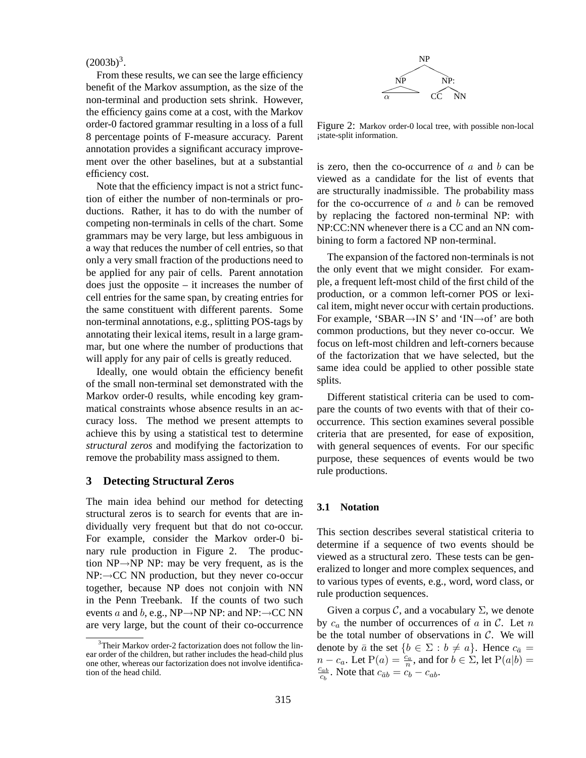## $(2003b)^3$ .

From these results, we can see the large efficiency benefit of the Markov assumption, as the size of the non-terminal and production sets shrink. However, the efficiency gains come at a cost, with the Markov order-0 factored grammar resulting in a loss of a full 8 percentage points of F-measure accuracy. Parent annotation provides a significant accuracy improvement over the other baselines, but at a substantial efficiency cost.

Note that the efficiency impact is not a strict function of either the number of non-terminals or productions. Rather, it has to do with the number of competing non-terminals in cells of the chart. Some grammars may be very large, but less ambiguous in a way that reduces the number of cell entries, so that only a very small fraction of the productions need to be applied for any pair of cells. Parent annotation does just the opposite  $-$  it increases the number of cell entries for the same span, by creating entries for the same constituent with different parents. Some non-terminal annotations, e.g., splitting POS-tags by annotating their lexical items, result in a large grammar, but one where the number of productions that will apply for any pair of cells is greatly reduced.

Ideally, one would obtain the efficiency benefit of the small non-terminal set demonstrated with the Markov order-0 results, while encoding key grammatical constraints whose absence results in an accuracy loss. The method we present attempts to achieve this by using a statistical test to determine *structural zeros* and modifying the factorization to remove the probability mass assigned to them.

## **3 Detecting Structural Zeros**

The main idea behind our method for detecting structural zeros is to search for events that are individually very frequent but that do not co-occur. For example, consider the Markov order-0 binary rule production in Figure 2. The production NP→NP NP: may be very frequent, as is the  $NP:\rightarrow CC$  NN production, but they never co-occur together, because NP does not conjoin with NN in the Penn Treebank. If the counts of two such events a and b, e.g., NP $\rightarrow$ NP NP: and NP: $\rightarrow$ CC NN are very large, but the count of their co-occurrence



Figure 2: Markov order-0 local tree, with possible non-local ¡state-split information.

is zero, then the co-occurrence of  $a$  and  $b$  can be viewed as a candidate for the list of events that are structurally inadmissible. The probability mass for the co-occurrence of  $a$  and  $b$  can be removed by replacing the factored non-terminal NP: with NP:CC:NN whenever there is a CC and an NN combining to form a factored NP non-terminal.

The expansion of the factored non-terminals is not the only event that we might consider. For example, a frequent left-most child of the first child of the production, or a common left-corner POS or lexical item, might never occur with certain productions. For example, 'SBAR→IN S' and 'IN→of' are both common productions, but they never co-occur. We focus on left-most children and left-corners because of the factorization that we have selected, but the same idea could be applied to other possible state splits.

Different statistical criteria can be used to compare the counts of two events with that of their cooccurrence. This section examines several possible criteria that are presented, for ease of exposition, with general sequences of events. For our specific purpose, these sequences of events would be two rule productions.

#### **3.1 Notation**

This section describes several statistical criteria to determine if a sequence of two events should be viewed as a structural zero. These tests can be generalized to longer and more complex sequences, and to various types of events, e.g., word, word class, or rule production sequences.

Given a corpus  $\mathcal{C}$ , and a vocabulary  $\Sigma$ , we denote by  $c_a$  the number of occurrences of a in C. Let n be the total number of observations in  $C$ . We will denote by  $\bar{a}$  the set  $\{b \in \Sigma : b \neq a\}$ . Hence  $c_{\bar{a}} =$  $n - c_a$ . Let  $P(a) = \frac{c_a}{n}$ , and for  $b \in \Sigma$ , let  $P(a|b) =$  $c_{ab}$  $\frac{c_{ab}}{c_b}$ . Note that  $c_{\bar{a}b} = c_b - c_{ab}$ .

<sup>3</sup>Their Markov order-2 factorization does not follow the linear order of the children, but rather includes the head-child plus one other, whereas our factorization does not involve identification of the head child.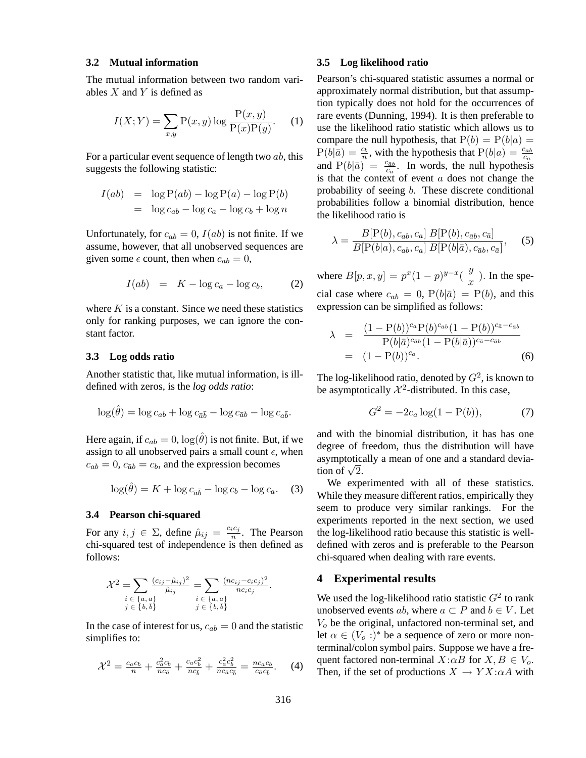### **3.2 Mutual information**

The mutual information between two random variables  $X$  and  $Y$  is defined as

$$
I(X;Y) = \sum_{x,y} \mathcal{P}(x,y) \log \frac{\mathcal{P}(x,y)}{\mathcal{P}(x)\mathcal{P}(y)}.
$$
 (1)

For a particular event sequence of length two  $ab$ , this suggests the following statistic:

$$
I(ab) = \log P(ab) - \log P(a) - \log P(b)
$$
  
=  $\log c_{ab} - \log c_a - \log c_b + \log n$ 

Unfortunately, for  $c_{ab} = 0$ ,  $I(ab)$  is not finite. If we assume, however, that all unobserved sequences are given some  $\epsilon$  count, then when  $c_{ab} = 0$ ,

$$
I(ab) = K - \log c_a - \log c_b, \qquad (2)
$$

where  $K$  is a constant. Since we need these statistics only for ranking purposes, we can ignore the constant factor.

## **3.3 Log odds ratio**

Another statistic that, like mutual information, is illdefined with zeros, is the *log odds ratio*:

$$
\log(\hat{\theta}) = \log c_{ab} + \log c_{\bar{a}\bar{b}} - \log c_{\bar{a}b} - \log c_{a\bar{b}}.
$$

Here again, if  $c_{ab} = 0$ ,  $\log(\hat{\theta})$  is not finite. But, if we assign to all unobserved pairs a small count  $\epsilon$ , when  $c_{ab} = 0$ ,  $c_{\bar{a}b} = c_b$ , and the expression becomes

$$
\log(\hat{\theta}) = K + \log c_{\bar{a}\bar{b}} - \log c_b - \log c_a. \quad (3)
$$

#### **3.4 Pearson chi-squared**

For any  $i, j \in \Sigma$ , define  $\hat{\mu}_{ij} = \frac{c_i c_j}{n}$  $\frac{i^{c_j}}{n}$ . The Pearson chi-squared test of independence is then defined as follows:

$$
\mathcal{X}^2 = \sum_{\substack{i \in \{a, \bar{a}\} \\ j \in \{b, \bar{b}\}}} \frac{(c_{ij} - \hat{\mu}_{ij})^2}{\hat{\mu}_{ij}} = \sum_{\substack{i \in \{a, \bar{a}\} \\ j \in \{b, \bar{b}\}}} \frac{(nc_{ij} - c_i c_j)^2}{nc_i c_j}.
$$

In the case of interest for us,  $c_{ab} = 0$  and the statistic simplifies to:

$$
\mathcal{X}^2 = \frac{c_a c_b}{n} + \frac{c_a^2 c_b}{n c_{\bar{a}}} + \frac{c_a c_b^2}{n c_{\bar{b}}} + \frac{c_a^2 c_b^2}{n c_{\bar{a}} c_{\bar{b}}} = \frac{n c_a c_b}{c_{\bar{a}} c_{\bar{b}}}.
$$
 (4)

#### **3.5 Log likelihood ratio**

Pearson's chi-squared statistic assumes a normal or approximately normal distribution, but that assumption typically does not hold for the occurrences of rare events (Dunning, 1994). It is then preferable to use the likelihood ratio statistic which allows us to compare the null hypothesis, that  $P(b) = P(b|a) =$  $P(b|\bar{a}) = \frac{c_b}{n}$ , with the hypothesis that  $P(b|a) = \frac{c_{ab}}{c_a}$ and  $P(b|\bar{a}) = \frac{c_{\bar{a}b}}{c_{\bar{a}}}$ . In words, the null hypothesis is that the context of event  $a$  does not change the probability of seeing b. These discrete conditional probabilities follow a binomial distribution, hence the likelihood ratio is

$$
\lambda = \frac{B[P(b), c_{ab}, c_a] B[P(b), c_{\bar{a}b}, c_{\bar{a}}]}{B[P(b|a), c_{ab}, c_a] B[P(b|\bar{a}), c_{\bar{a}b}, c_{\bar{a}}]},
$$
(5)

where  $B[p, x, y] = p^x (1-p)^{y-x} {y \choose x}$  $\frac{y}{x}$ ). In the special case where  $c_{ab} = 0$ ,  $P(b|\bar{a}) = P(b)$ , and this expression can be simplified as follows:

$$
\lambda = \frac{(1 - P(b))^{c_a} P(b)^{c_{\bar{a}b}} (1 - P(b))^{c_{\bar{a}} - c_{\bar{a}b}}}{P(b|\bar{a})^{c_{\bar{a}b}} (1 - P(b|\bar{a}))^{c_{\bar{a}} - c_{\bar{a}b}}}
$$
  
=  $(1 - P(b))^{c_a}.$  (6)

The log-likelihood ratio, denoted by  $G^2$ , is known to be asymptotically  $\mathcal{X}^2$ -distributed. In this case,

$$
G^2 = -2c_a \log(1 - P(b)),\tag{7}
$$

and with the binomial distribution, it has has one degree of freedom, thus the distribution will have asymptotically a mean of one and a standard deviaasymptotic:<br>tion of  $\sqrt{2}$ .

We experimented with all of these statistics. While they measure different ratios, empirically they seem to produce very similar rankings. For the experiments reported in the next section, we used the log-likelihood ratio because this statistic is welldefined with zeros and is preferable to the Pearson chi-squared when dealing with rare events.

## **4 Experimental results**

We used the log-likelihood ratio statistic  $G^2$  to rank unobserved events ab, where  $a \subset P$  and  $b \in V$ . Let  $V<sub>o</sub>$  be the original, unfactored non-terminal set, and let  $\alpha \in (V_o :)^*$  be a sequence of zero or more nonterminal/colon symbol pairs. Suppose we have a frequent factored non-terminal  $X:\alpha B$  for  $X, B \in V_0$ . Then, if the set of productions  $X \to Y X : \alpha A$  with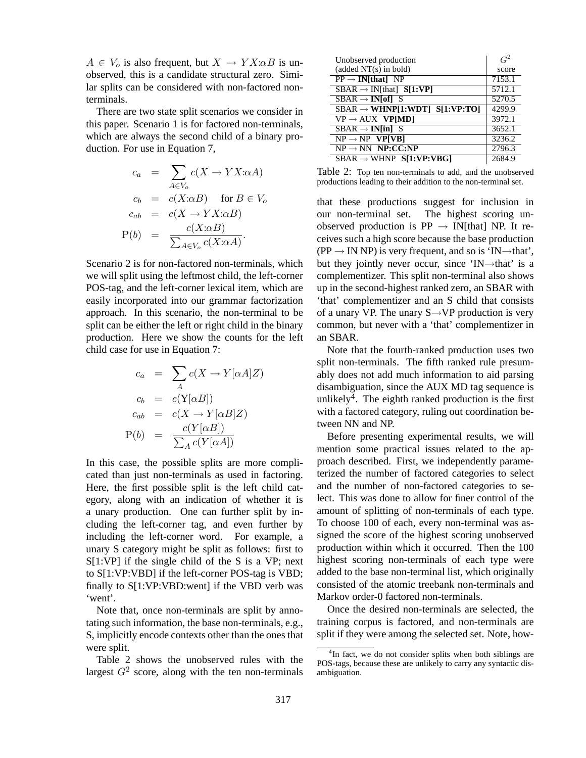$A \in V_o$  is also frequent, but  $X \to Y X : \alpha B$  is unobserved, this is a candidate structural zero. Similar splits can be considered with non-factored nonterminals.

There are two state split scenarios we consider in this paper. Scenario 1 is for factored non-terminals, which are always the second child of a binary production. For use in Equation 7,

$$
c_a = \sum_{A \in V_o} c(X \to YX:\alpha A)
$$
  
\n
$$
c_b = c(X:\alpha B) \text{ for } B \in V_o
$$
  
\n
$$
c_{ab} = c(X \to YX:\alpha B)
$$
  
\n
$$
P(b) = \frac{c(X:\alpha B)}{\sum_{A \in V_o} c(X:\alpha A)}
$$

Scenario 2 is for non-factored non-terminals, which we will split using the leftmost child, the left-corner POS-tag, and the left-corner lexical item, which are easily incorporated into our grammar factorization approach. In this scenario, the non-terminal to be split can be either the left or right child in the binary production. Here we show the counts for the left child case for use in Equation 7:

$$
c_a = \sum_A c(X \to Y[\alpha A]Z)
$$
  
\n
$$
c_b = c(Y[\alpha B])
$$
  
\n
$$
c_{ab} = c(X \to Y[\alpha B]Z)
$$
  
\n
$$
P(b) = \frac{c(Y[\alpha B])}{\sum_A c(Y[\alpha A])}
$$

In this case, the possible splits are more complicated than just non-terminals as used in factoring. Here, the first possible split is the left child category, along with an indication of whether it is a unary production. One can further split by including the left-corner tag, and even further by including the left-corner word. For example, a unary S category might be split as follows: first to S[1:VP] if the single child of the S is a VP; next to S[1:VP:VBD] if the left-corner POS-tag is VBD; finally to S[1:VP:VBD:went] if the VBD verb was 'went'.

Note that, once non-terminals are split by annotating such information, the base non-terminals, e.g., S, implicitly encode contexts other than the ones that were split.

Table 2 shows the unobserved rules with the largest  $G^2$  score, along with the ten non-terminals

| Unobserved production                                       | $G^2$  |
|-------------------------------------------------------------|--------|
| (added NT(s) in bold)                                       | score  |
| $PP \rightarrow IN[that] NP$                                | 7153.1 |
| $SBAR \rightarrow IN[that]$ S[1:VP]                         | 5712.1 |
| $SBAR \rightarrow IN[$ of] S                                | 5270.5 |
| $SBAR \rightarrow WHNP[1:WDT]$ $S[1:VP:TO]$                 | 4299.9 |
| $VP \rightarrow AUX$ <b>VP[MD]</b>                          | 3972.1 |
| $\overline{\text{SBAR}} \rightarrow \text{IN}[\text{in}]$ S | 3652.1 |
| $NP \rightarrow NP$ VP[VB]                                  | 3236.2 |
| $NP \rightarrow NN$ $NP:CC:NP$                              | 2796.3 |
| $SBAR \rightarrow WHNP$ $SI:VP:VBGI$                        | 2684.9 |

Table 2: Top ten non-terminals to add, and the unobserved productions leading to their addition to the non-terminal set.

that these productions suggest for inclusion in our non-terminal set. The highest scoring unobserved production is  $PP \rightarrow IN[that] NP$ . It receives such a high score because the base production  $(PP \rightarrow IN NP)$  is very frequent, and so is 'IN $\rightarrow$ that', but they jointly never occur, since 'IN→that' is a complementizer. This split non-terminal also shows up in the second-highest ranked zero, an SBAR with 'that' complementizer and an S child that consists of a unary VP. The unary  $S \rightarrow VP$  production is very common, but never with a 'that' complementizer in an SBAR.

Note that the fourth-ranked production uses two split non-terminals. The fifth ranked rule presumably does not add much information to aid parsing disambiguation, since the AUX MD tag sequence is unlikely<sup>4</sup>. The eighth ranked production is the first with a factored category, ruling out coordination between NN and NP.

Before presenting experimental results, we will mention some practical issues related to the approach described. First, we independently parameterized the number of factored categories to select and the number of non-factored categories to select. This was done to allow for finer control of the amount of splitting of non-terminals of each type. To choose 100 of each, every non-terminal was assigned the score of the highest scoring unobserved production within which it occurred. Then the 100 highest scoring non-terminals of each type were added to the base non-terminal list, which originally consisted of the atomic treebank non-terminals and Markov order-0 factored non-terminals.

Once the desired non-terminals are selected, the training corpus is factored, and non-terminals are split if they were among the selected set. Note, how-

<sup>&</sup>lt;sup>4</sup>In fact, we do not consider splits when both siblings are POS-tags, because these are unlikely to carry any syntactic disambiguation.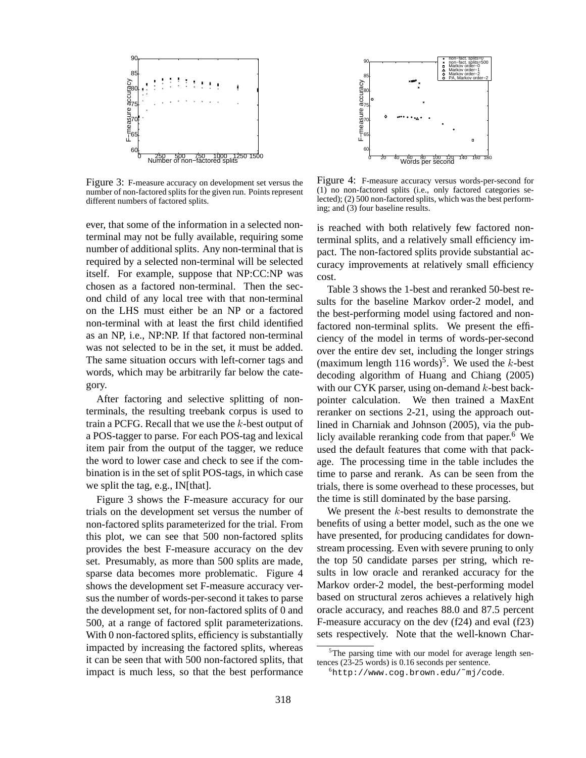

Figure 3: F-measure accuracy on development set versus the number of non-factored splits for the given run. Points represent different numbers of factored splits.

ever, that some of the information in a selected nonterminal may not be fully available, requiring some number of additional splits. Any non-terminal that is required by a selected non-terminal will be selected itself. For example, suppose that NP:CC:NP was chosen as a factored non-terminal. Then the second child of any local tree with that non-terminal on the LHS must either be an NP or a factored non-terminal with at least the first child identified as an NP, i.e., NP:NP. If that factored non-terminal was not selected to be in the set, it must be added. The same situation occurs with left-corner tags and words, which may be arbitrarily far below the category.

After factoring and selective splitting of nonterminals, the resulting treebank corpus is used to train a PCFG. Recall that we use the  $k$ -best output of a POS-tagger to parse. For each POS-tag and lexical item pair from the output of the tagger, we reduce the word to lower case and check to see if the combination is in the set of split POS-tags, in which case we split the tag, e.g., IN[that].

Figure 3 shows the F-measure accuracy for our trials on the development set versus the number of non-factored splits parameterized for the trial. From this plot, we can see that 500 non-factored splits provides the best F-measure accuracy on the dev set. Presumably, as more than 500 splits are made, sparse data becomes more problematic. Figure 4 shows the development set F-measure accuracy versus the number of words-per-second it takes to parse the development set, for non-factored splits of 0 and 500, at a range of factored split parameterizations. With 0 non-factored splits, efficiency is substantially impacted by increasing the factored splits, whereas it can be seen that with 500 non-factored splits, that impact is much less, so that the best performance



Figure 4: F-measure accuracy versus words-per-second for (1) no non-factored splits (i.e., only factored categories selected); (2) 500 non-factored splits, which was the best performing; and (3) four baseline results.

is reached with both relatively few factored nonterminal splits, and a relatively small efficiency impact. The non-factored splits provide substantial accuracy improvements at relatively small efficiency cost.

Table 3 shows the 1-best and reranked 50-best results for the baseline Markov order-2 model, and the best-performing model using factored and nonfactored non-terminal splits. We present the efficiency of the model in terms of words-per-second over the entire dev set, including the longer strings (maximum length 116 words)<sup>5</sup>. We used the  $k$ -best decoding algorithm of Huang and Chiang (2005) with our CYK parser, using on-demand  $k$ -best backpointer calculation. We then trained a MaxEnt reranker on sections 2-21, using the approach outlined in Charniak and Johnson (2005), via the publicly available reranking code from that paper.<sup>6</sup> We used the default features that come with that package. The processing time in the table includes the time to parse and rerank. As can be seen from the trials, there is some overhead to these processes, but the time is still dominated by the base parsing.

We present the  $k$ -best results to demonstrate the benefits of using a better model, such as the one we have presented, for producing candidates for downstream processing. Even with severe pruning to only the top 50 candidate parses per string, which results in low oracle and reranked accuracy for the Markov order-2 model, the best-performing model based on structural zeros achieves a relatively high oracle accuracy, and reaches 88.0 and 87.5 percent F-measure accuracy on the dev (f24) and eval (f23) sets respectively. Note that the well-known Char-

 $5$ The parsing time with our model for average length sentences (23-25 words) is 0.16 seconds per sentence.

<sup>6</sup>http://www.cog.brown.edu/˜mj/code.